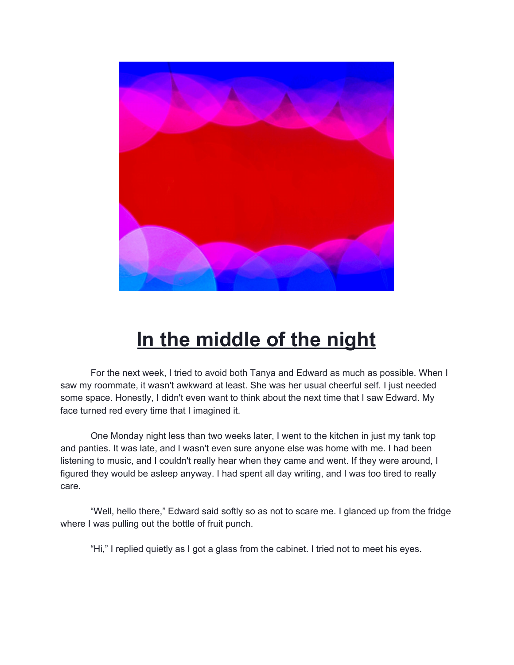

## **In the middle of the night**

For the next week, I tried to avoid both Tanya and Edward as much as possible. When I saw my roommate, it wasn't awkward at least. She was her usual cheerful self. I just needed some space. Honestly, I didn't even want to think about the next time that I saw Edward. My face turned red every time that I imagined it.

One Monday night less than two weeks later, I went to the kitchen in just my tank top and panties. It was late, and I wasn't even sure anyone else was home with me. I had been listening to music, and I couldn't really hear when they came and went. If they were around, I figured they would be asleep anyway. I had spent all day writing, and I was too tired to really care.

"Well, hello there," Edward said softly so as not to scare me. I glanced up from the fridge where I was pulling out the bottle of fruit punch.

"Hi," I replied quietly as I got a glass from the cabinet. I tried not to meet his eyes.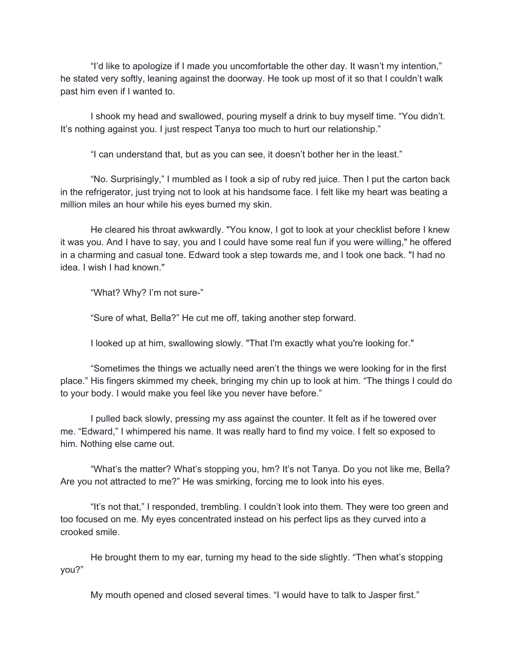"I'd like to apologize if I made you uncomfortable the other day. It wasn't my intention," he stated very softly, leaning against the doorway. He took up most of it so that I couldn't walk past him even if I wanted to.

I shook my head and swallowed, pouring myself a drink to buy myself time. "You didn't. It's nothing against you. I just respect Tanya too much to hurt our relationship."

"I can understand that, but as you can see, it doesn't bother her in the least."

"No. Surprisingly," I mumbled as I took a sip of ruby red juice. Then I put the carton back in the refrigerator, just trying not to look at his handsome face. I felt like my heart was beating a million miles an hour while his eyes burned my skin.

He cleared his throat awkwardly. "You know, I got to look at your checklist before I knew it was you. And I have to say, you and I could have some real fun if you were willing," he offered in a charming and casual tone. Edward took a step towards me, and I took one back. "I had no idea. I wish I had known."

"What? Why? I'm not sure-"

"Sure of what, Bella?" He cut me off, taking another step forward.

I looked up at him, swallowing slowly. "That I'm exactly what you're looking for."

"Sometimes the things we actually need aren't the things we were looking for in the first place." His fingers skimmed my cheek, bringing my chin up to look at him. "The things I could do to your body. I would make you feel like you never have before."

I pulled back slowly, pressing my ass against the counter. It felt as if he towered over me. "Edward," I whimpered his name. It was really hard to find my voice. I felt so exposed to him. Nothing else came out.

"What's the matter? What's stopping you, hm? It's not Tanya. Do you not like me, Bella? Are you not attracted to me?" He was smirking, forcing me to look into his eyes.

"It's not that," I responded, trembling. I couldn't look into them. They were too green and too focused on me. My eyes concentrated instead on his perfect lips as they curved into a crooked smile.

He brought them to my ear, turning my head to the side slightly. "Then what's stopping you?"

My mouth opened and closed several times. "I would have to talk to Jasper first."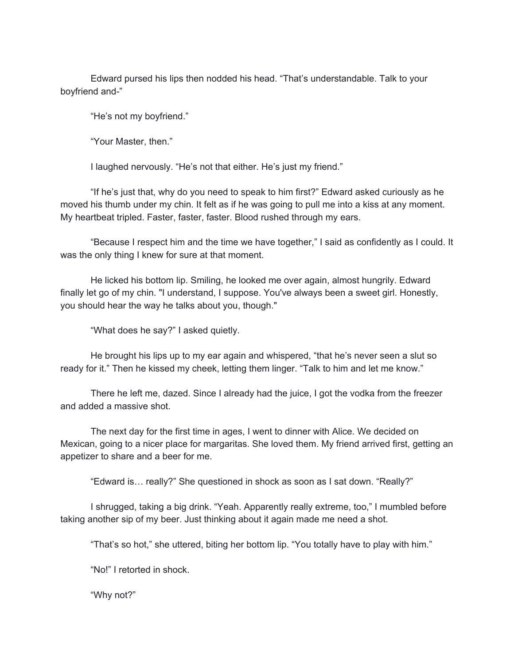Edward pursed his lips then nodded his head. "That's understandable. Talk to your boyfriend and-"

"He's not my boyfriend."

"Your Master, then."

I laughed nervously. "He's not that either. He's just my friend."

"If he's just that, why do you need to speak to him first?" Edward asked curiously as he moved his thumb under my chin. It felt as if he was going to pull me into a kiss at any moment. My heartbeat tripled. Faster, faster, faster. Blood rushed through my ears.

"Because I respect him and the time we have together," I said as confidently as I could. It was the only thing I knew for sure at that moment.

He licked his bottom lip. Smiling, he looked me over again, almost hungrily. Edward finally let go of my chin. "I understand, I suppose. You've always been a sweet girl. Honestly, you should hear the way he talks about you, though."

"What does he say?" I asked quietly.

He brought his lips up to my ear again and whispered, "that he's never seen a slut so ready for it." Then he kissed my cheek, letting them linger. "Talk to him and let me know."

There he left me, dazed. Since I already had the juice, I got the vodka from the freezer and added a massive shot.

The next day for the first time in ages, I went to dinner with Alice. We decided on Mexican, going to a nicer place for margaritas. She loved them. My friend arrived first, getting an appetizer to share and a beer for me.

"Edward is… really?" She questioned in shock as soon as I sat down. "Really?"

I shrugged, taking a big drink. "Yeah. Apparently really extreme, too," I mumbled before taking another sip of my beer. Just thinking about it again made me need a shot.

"That's so hot," she uttered, biting her bottom lip. "You totally have to play with him."

"No!" I retorted in shock.

"Why not?"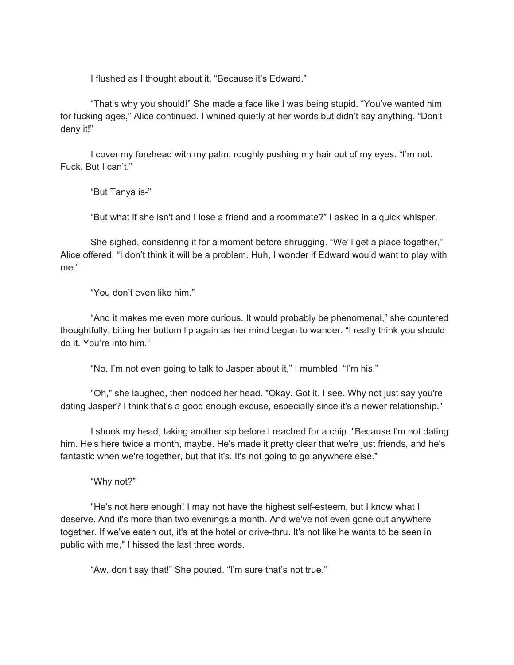I flushed as I thought about it. "Because it's Edward."

"That's why you should!" She made a face like I was being stupid. "You've wanted him for fucking ages," Alice continued. I whined quietly at her words but didn't say anything. "Don't deny it!"

I cover my forehead with my palm, roughly pushing my hair out of my eyes. "I'm not. Fuck. But I can't."

"But Tanya is-"

"But what if she isn't and I lose a friend and a roommate?" I asked in a quick whisper.

She sighed, considering it for a moment before shrugging. "We'll get a place together," Alice offered. "I don't think it will be a problem. Huh, I wonder if Edward would want to play with me."

"You don't even like him."

"And it makes me even more curious. It would probably be phenomenal," she countered thoughtfully, biting her bottom lip again as her mind began to wander. "I really think you should do it. You're into him."

"No. I'm not even going to talk to Jasper about it," I mumbled. "I'm his."

"Oh," she laughed, then nodded her head. "Okay. Got it. I see. Why not just say you're dating Jasper? I think that's a good enough excuse, especially since it's a newer relationship."

I shook my head, taking another sip before I reached for a chip. "Because I'm not dating him. He's here twice a month, maybe. He's made it pretty clear that we're just friends, and he's fantastic when we're together, but that it's. It's not going to go anywhere else."

"Why not?"

"He's not here enough! I may not have the highest self-esteem, but I know what I deserve. And it's more than two evenings a month. And we've not even gone out anywhere together. If we've eaten out, it's at the hotel or drive-thru. It's not like he wants to be seen in public with me," I hissed the last three words.

"Aw, don't say that!" She pouted. "I'm sure that's not true."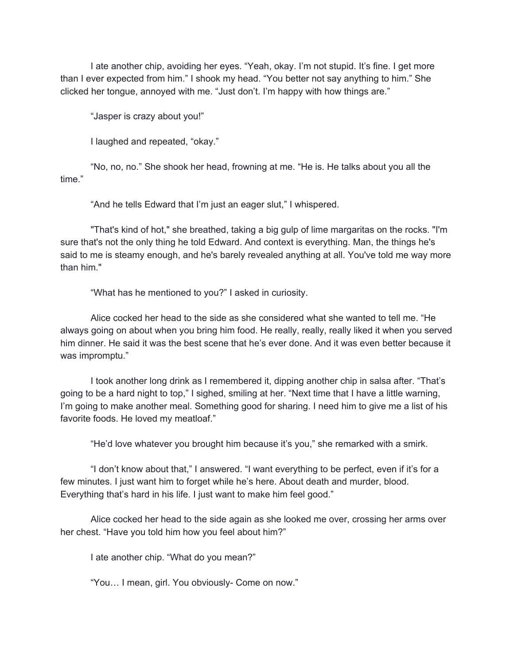I ate another chip, avoiding her eyes. "Yeah, okay. I'm not stupid. It's fine. I get more than I ever expected from him." I shook my head. "You better not say anything to him." She clicked her tongue, annoyed with me. "Just don't. I'm happy with how things are."

"Jasper is crazy about you!"

I laughed and repeated, "okay."

"No, no, no." She shook her head, frowning at me. "He is. He talks about you all the time."

"And he tells Edward that I'm just an eager slut," I whispered.

"That's kind of hot," she breathed, taking a big gulp of lime margaritas on the rocks. "I'm sure that's not the only thing he told Edward. And context is everything. Man, the things he's said to me is steamy enough, and he's barely revealed anything at all. You've told me way more than him."

"What has he mentioned to you?" I asked in curiosity.

Alice cocked her head to the side as she considered what she wanted to tell me. "He always going on about when you bring him food. He really, really, really liked it when you served him dinner. He said it was the best scene that he's ever done. And it was even better because it was impromptu."

I took another long drink as I remembered it, dipping another chip in salsa after. "That's going to be a hard night to top," I sighed, smiling at her. "Next time that I have a little warning, I'm going to make another meal. Something good for sharing. I need him to give me a list of his favorite foods. He loved my meatloaf."

"He'd love whatever you brought him because it's you," she remarked with a smirk.

"I don't know about that," I answered. "I want everything to be perfect, even if it's for a few minutes. I just want him to forget while he's here. About death and murder, blood. Everything that's hard in his life. I just want to make him feel good."

Alice cocked her head to the side again as she looked me over, crossing her arms over her chest. "Have you told him how you feel about him?"

I ate another chip. "What do you mean?"

"You… I mean, girl. You obviously- Come on now."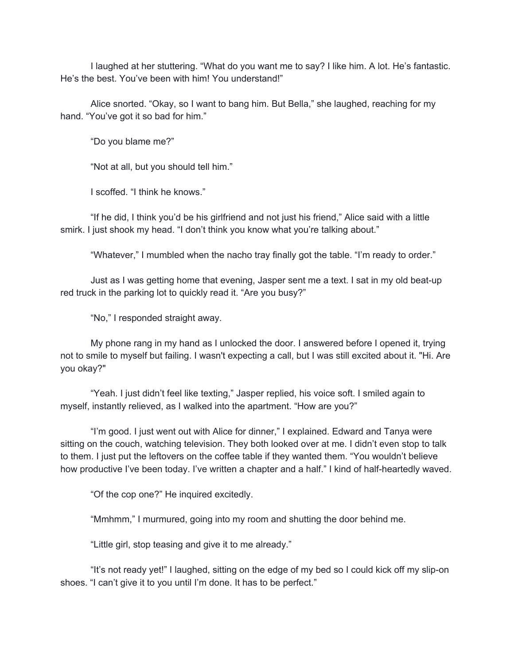I laughed at her stuttering. "What do you want me to say? I like him. A lot. He's fantastic. He's the best. You've been with him! You understand!"

Alice snorted. "Okay, so I want to bang him. But Bella," she laughed, reaching for my hand. "You've got it so bad for him."

"Do you blame me?"

"Not at all, but you should tell him."

I scoffed. "I think he knows."

"If he did, I think you'd be his girlfriend and not just his friend," Alice said with a little smirk. I just shook my head. "I don't think you know what you're talking about."

"Whatever," I mumbled when the nacho tray finally got the table. "I'm ready to order."

Just as I was getting home that evening, Jasper sent me a text. I sat in my old beat-up red truck in the parking lot to quickly read it. "Are you busy?"

"No," I responded straight away.

My phone rang in my hand as I unlocked the door. I answered before I opened it, trying not to smile to myself but failing. I wasn't expecting a call, but I was still excited about it. "Hi. Are you okay?"

"Yeah. I just didn't feel like texting," Jasper replied, his voice soft. I smiled again to myself, instantly relieved, as I walked into the apartment. "How are you?"

"I'm good. I just went out with Alice for dinner," I explained. Edward and Tanya were sitting on the couch, watching television. They both looked over at me. I didn't even stop to talk to them. I just put the leftovers on the coffee table if they wanted them. "You wouldn't believe how productive I've been today. I've written a chapter and a half." I kind of half-heartedly waved.

"Of the cop one?" He inquired excitedly.

"Mmhmm," I murmured, going into my room and shutting the door behind me.

"Little girl, stop teasing and give it to me already."

"It's not ready yet!" I laughed, sitting on the edge of my bed so I could kick off my slip-on shoes. "I can't give it to you until I'm done. It has to be perfect."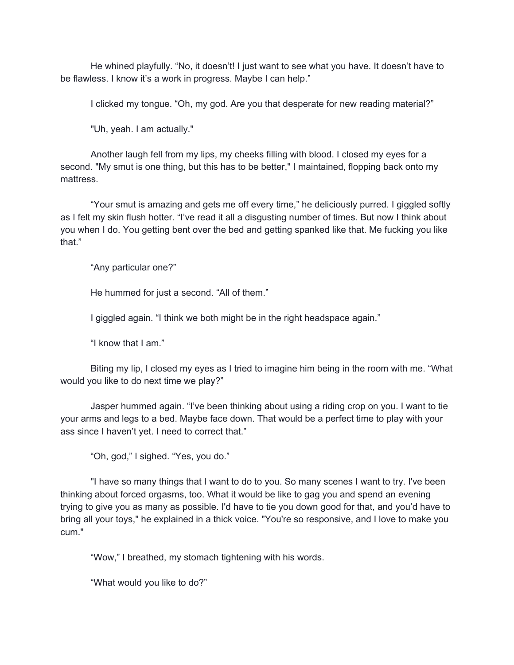He whined playfully. "No, it doesn't! I just want to see what you have. It doesn't have to be flawless. I know it's a work in progress. Maybe I can help."

I clicked my tongue. "Oh, my god. Are you that desperate for new reading material?"

"Uh, yeah. I am actually."

Another laugh fell from my lips, my cheeks filling with blood. I closed my eyes for a second. "My smut is one thing, but this has to be better," I maintained, flopping back onto my mattress.

"Your smut is amazing and gets me off every time," he deliciously purred. I giggled softly as I felt my skin flush hotter. "I've read it all a disgusting number of times. But now I think about you when I do. You getting bent over the bed and getting spanked like that. Me fucking you like that."

"Any particular one?"

He hummed for just a second. "All of them."

I giggled again. "I think we both might be in the right headspace again."

"I know that I am."

Biting my lip, I closed my eyes as I tried to imagine him being in the room with me. "What would you like to do next time we play?"

Jasper hummed again. "I've been thinking about using a riding crop on you. I want to tie your arms and legs to a bed. Maybe face down. That would be a perfect time to play with your ass since I haven't yet. I need to correct that."

"Oh, god," I sighed. "Yes, you do."

"I have so many things that I want to do to you. So many scenes I want to try. I've been thinking about forced orgasms, too. What it would be like to gag you and spend an evening trying to give you as many as possible. I'd have to tie you down good for that, and you'd have to bring all your toys," he explained in a thick voice. "You're so responsive, and I love to make you cum."

"Wow," I breathed, my stomach tightening with his words.

"What would you like to do?"